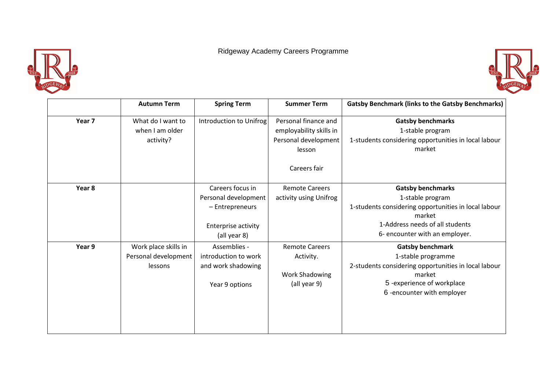Ridgeway Academy Careers Programme





|        | <b>Autumn Term</b>                                      | <b>Spring Term</b>                                                                                 | <b>Summer Term</b>                                                                                | <b>Gatsby Benchmark (links to the Gatsby Benchmarks)</b>                                                                                                                            |
|--------|---------------------------------------------------------|----------------------------------------------------------------------------------------------------|---------------------------------------------------------------------------------------------------|-------------------------------------------------------------------------------------------------------------------------------------------------------------------------------------|
| Year 7 | What do I want to<br>when I am older<br>activity?       | Introduction to Unifrog                                                                            | Personal finance and<br>employability skills in<br>Personal development<br>lesson<br>Careers fair | <b>Gatsby benchmarks</b><br>1-stable program<br>1-students considering opportunities in local labour<br>market                                                                      |
| Year 8 |                                                         | Careers focus in<br>Personal development<br>- Entrepreneurs<br>Enterprise activity<br>(all year 8) | <b>Remote Careers</b><br>activity using Unifrog                                                   | <b>Gatsby benchmarks</b><br>1-stable program<br>1-students considering opportunities in local labour<br>market<br>1-Address needs of all students<br>6- encounter with an employer. |
| Year 9 | Work place skills in<br>Personal development<br>lessons | Assemblies -<br>introduction to work<br>and work shadowing<br>Year 9 options                       | <b>Remote Careers</b><br>Activity.<br><b>Work Shadowing</b><br>(all year 9)                       | <b>Gatsby benchmark</b><br>1-stable programme<br>2-students considering opportunities in local labour<br>market<br>5-experience of workplace<br>6-encounter with employer           |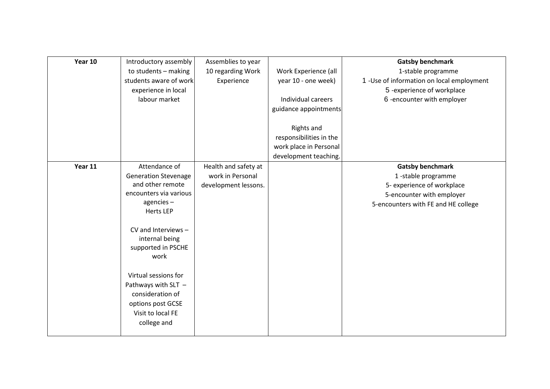| Year 10 | Introductory assembly       | Assemblies to year   |                         | <b>Gatsby benchmark</b>                    |
|---------|-----------------------------|----------------------|-------------------------|--------------------------------------------|
|         | to students - making        | 10 regarding Work    | Work Experience (all    | 1-stable programme                         |
|         | students aware of work      | Experience           | year 10 - one week)     | 1 - Use of information on local employment |
|         | experience in local         |                      |                         | 5-experience of workplace                  |
|         | labour market               |                      | Individual careers      | 6-encounter with employer                  |
|         |                             |                      | guidance appointments   |                                            |
|         |                             |                      |                         |                                            |
|         |                             |                      | <b>Rights and</b>       |                                            |
|         |                             |                      | responsibilities in the |                                            |
|         |                             |                      | work place in Personal  |                                            |
|         |                             |                      | development teaching.   |                                            |
| Year 11 | Attendance of               | Health and safety at |                         | <b>Gatsby benchmark</b>                    |
|         | <b>Generation Stevenage</b> | work in Personal     |                         | 1-stable programme                         |
|         | and other remote            | development lessons. |                         | 5- experience of workplace                 |
|         | encounters via various      |                      |                         | 5-encounter with employer                  |
|         | agencies-                   |                      |                         | 5-encounters with FE and HE college        |
|         | <b>Herts LEP</b>            |                      |                         |                                            |
|         |                             |                      |                         |                                            |
|         | CV and Interviews -         |                      |                         |                                            |
|         | internal being              |                      |                         |                                            |
|         | supported in PSCHE          |                      |                         |                                            |
|         | work                        |                      |                         |                                            |
|         |                             |                      |                         |                                            |
|         | Virtual sessions for        |                      |                         |                                            |
|         | Pathways with SLT -         |                      |                         |                                            |
|         | consideration of            |                      |                         |                                            |
|         | options post GCSE           |                      |                         |                                            |
|         | Visit to local FE           |                      |                         |                                            |
|         | college and                 |                      |                         |                                            |
|         |                             |                      |                         |                                            |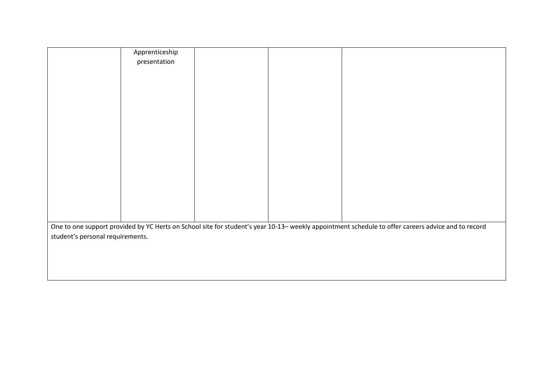|                                                                                                                                                    | Apprenticeship |  |  |  |  |
|----------------------------------------------------------------------------------------------------------------------------------------------------|----------------|--|--|--|--|
|                                                                                                                                                    | presentation   |  |  |  |  |
|                                                                                                                                                    |                |  |  |  |  |
|                                                                                                                                                    |                |  |  |  |  |
|                                                                                                                                                    |                |  |  |  |  |
|                                                                                                                                                    |                |  |  |  |  |
|                                                                                                                                                    |                |  |  |  |  |
|                                                                                                                                                    |                |  |  |  |  |
|                                                                                                                                                    |                |  |  |  |  |
|                                                                                                                                                    |                |  |  |  |  |
|                                                                                                                                                    |                |  |  |  |  |
|                                                                                                                                                    |                |  |  |  |  |
|                                                                                                                                                    |                |  |  |  |  |
|                                                                                                                                                    |                |  |  |  |  |
|                                                                                                                                                    |                |  |  |  |  |
|                                                                                                                                                    |                |  |  |  |  |
|                                                                                                                                                    |                |  |  |  |  |
|                                                                                                                                                    |                |  |  |  |  |
|                                                                                                                                                    |                |  |  |  |  |
| One to one support provided by YC Herts on School site for student's year 10-13- weekly appointment schedule to offer careers advice and to record |                |  |  |  |  |
| student's personal requirements.                                                                                                                   |                |  |  |  |  |
|                                                                                                                                                    |                |  |  |  |  |
|                                                                                                                                                    |                |  |  |  |  |
|                                                                                                                                                    |                |  |  |  |  |
|                                                                                                                                                    |                |  |  |  |  |
|                                                                                                                                                    |                |  |  |  |  |